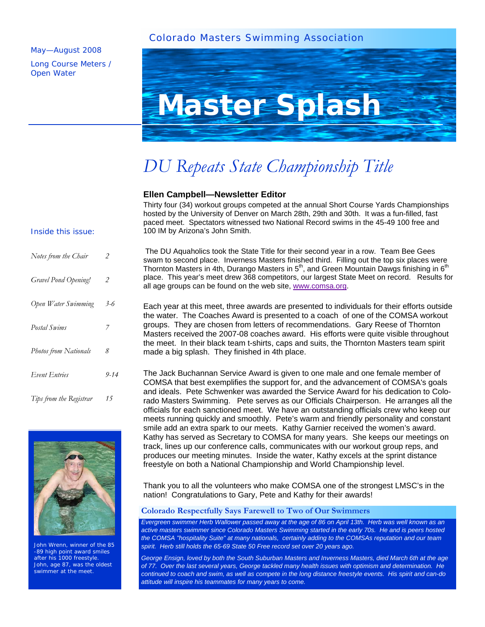## Colorado Masters Swimming Association

### May—August 2008

Long Course Meters / Open Water



# *DU Repeats State Championship Title*

## **Ellen Campbell—Newsletter Editor**

Thirty four (34) workout groups competed at the annual Short Course Yards Championships hosted by the University of Denver on March 28th, 29th and 30th. It was a fun-filled, fast paced meet. Spectators witnessed two National Record swims in the 45-49 100 free and 100 IM by Arizona's John Smith.

#### Inside this issue:

| Notes from the Chair    | 2        |
|-------------------------|----------|
| Gravel Pond Opening!    | 2        |
| Open Water Swimming     | $3 - 6$  |
| Postal Swims            | 7        |
| Photos from Nationals   | 8        |
| Event Entries           | $9 - 14$ |
| Tips from the Registrar | 15       |



John Wrenn, winner of the 85 -89 high point award smiles after his 1000 freestyle. John, age 87, was the oldest swimmer at the meet.

The DU Aquaholics took the State Title for their second year in a row. Team Bee Gees swam to second place. Inverness Masters finished third. Filling out the top six places were Thornton Masters in 4th, Durango Masters in  $5<sup>th</sup>$ , and Green Mountain Dawgs finishing in  $6<sup>th</sup>$ place. This year's meet drew 368 competitors, our largest State Meet on record. Results for all age groups can be found on the web site, www.comsa.org.

Each year at this meet, three awards are presented to individuals for their efforts outside the water. The Coaches Award is presented to a coach of one of the COMSA workout groups. They are chosen from letters of recommendations. Gary Reese of Thornton Masters received the 2007-08 coaches award. His efforts were quite visible throughout the meet. In their black team t-shirts, caps and suits, the Thornton Masters team spirit made a big splash. They finished in 4th place.

The Jack Buchannan Service Award is given to one male and one female member of COMSA that best exemplifies the support for, and the advancement of COMSA's goals and ideals. Pete Schwenker was awarded the Service Award for his dedication to Colorado Masters Swimming. Pete serves as our Officials Chairperson. He arranges all the officials for each sanctioned meet. We have an outstanding officials crew who keep our meets running quickly and smoothly. Pete's warm and friendly personality and constant smile add an extra spark to our meets. Kathy Garnier received the women's award. Kathy has served as Secretary to COMSA for many years. She keeps our meetings on track, lines up our conference calls, communicates with our workout group reps, and produces our meeting minutes. Inside the water, Kathy excels at the sprint distance freestyle on both a National Championship and World Championship level.

Thank you to all the volunteers who make COMSA one of the strongest LMSC's in the nation! Congratulations to Gary, Pete and Kathy for their awards!

#### **Colorado Respectfully Says Farewell to Two of Our Swimmers**

*Evergreen swimmer Herb Wallower passed away at the age of 86 on April 13th. Herb was well known as an active masters swimmer since Colorado Masters Swimming started in the early 70s. He and is peers hosted the COMSA "hospitality Suite" at many nationals, certainly adding to the COMSAs reputation and our team spirit. Herb still holds the 65-69 State 50 Free record set over 20 years ago.* 

*George Ensign, loved by both the South Suburban Masters and Inverness Masters, died March 6th at the age of 77. Over the last several years, George tackled many health issues with optimism and determination. He continued to coach and swim, as well as compete in the long distance freestyle events. His spirit and can-do attitude will inspire his teammates for many years to come.*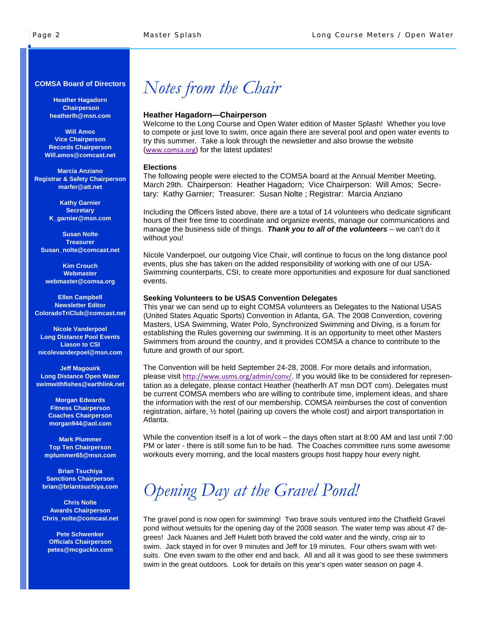#### **COMSA Board of Directors**

**Heather Hagadorn Chairperson heatherlh@msn.com** 

**Will Amos Vice Chairperson Records Chairperson Will.amos@comcast.net** 

**Marcia Anziano Registrar & Safety Chairperson marfer@att.net** 

> **Kathy Garnier Secretary K\_garnier@msn.com**

**Susan Nolte Treasurer Susan\_nolte@comcast.net** 

**Kim Crouch Webmaster webmaster@comsa.org** 

**Ellen Campbell Newsletter Editor ColoradoTriClub@comcast.net** 

**Nicole Vanderpoel Long Distance Pool Events Liason to CSI nicolevanderpoel@msn.com** 

**Jeff Magouirk Long Distance Open Water swimwithfishes@earthlink.net** 

> **Morgan Edwards Fitness Chairperson Coaches Chairperson morgan944@aol.com**

**Mark Plummer Top Ten Chairperson mplummer65@msn.com** 

**Brian Tsuchiya Sanctions Chairperson brian@briantsuchiya.com** 

**Chris Nolte Awards Chairperson Chris\_nolte@comcast.net** 

**Pete Schwenker Officials Chairperson petes@mcguckin.com** 

## *Notes from the Chair*

#### **Heather Hagadorn—Chairperson**

Welcome to the Long Course and Open Water edition of Master Splash! Whether you love to compete or just love to swim, once again there are several pool and open water events to try this summer. Take a look through the newsletter and also browse the website (www.comsa.org) for the latest updates!

#### **Elections**

The following people were elected to the COMSA board at the Annual Member Meeting, March 29th. Chairperson: Heather Hagadorn; Vice Chairperson: Will Amos; Secretary: Kathy Garnier; Treasurer: Susan Nolte ; Registrar: Marcia Anziano

Including the Officers listed above, there are a total of 14 volunteers who dedicate significant hours of their free time to coordinate and organize events, manage our communications and manage the business side of things. *Thank you to all of the volunteers* – we can't do it without you!

Nicole Vanderpoel, our outgoing Vice Chair, will continue to focus on the long distance pool events, plus she has taken on the added responsibility of working with one of our USA-Swimming counterparts, CSI, to create more opportunities and exposure for dual sanctioned events.

#### **Seeking Volunteers to be USAS Convention Delegates**

This year we can send up to eight COMSA volunteers as Delegates to the National USAS (United States Aquatic Sports) Convention in Atlanta, GA. The 2008 Convention, covering Masters, USA Swimming, Water Polo, Synchronized Swimming and Diving, is a forum for establishing the Rules governing our swimming. It is an opportunity to meet other Masters Swimmers from around the country, and it provides COMSA a chance to contribute to the future and growth of our sport.

The Convention will be held September 24-28, 2008. For more details and information, please visit http://www.usms.org/admin/conv/. If you would like to be considered for representation as a delegate, please contact Heather (heatherlh AT msn DOT com). Delegates must be current COMSA members who are willing to contribute time, implement ideas, and share the information with the rest of our membership. COMSA reimburses the cost of convention registration, airfare, ½ hotel (pairing up covers the whole cost) and airport transportation in Atlanta.

While the convention itself is a lot of work – the days often start at 8:00 AM and last until 7:00 PM or later - there is still some fun to be had. The Coaches committee runs some awesome workouts every morning, and the local masters groups host happy hour every night.

# *Opening Day at the Gravel Pond!*

The gravel pond is now open for swimming! Two brave souls ventured into the Chatfield Gravel pond without wetsuits for the opening day of the 2008 season. The water temp was about 47 degrees! Jack Nuanes and Jeff Hulett both braved the cold water and the windy, crisp air to swim. Jack stayed in for over 9 minutes and Jeff for 19 minutes. Four others swam with wetsuits. One even swam to the other end and back. All and all it was good to see these swimmers swim in the great outdoors. Look for details on this year's open water season on page 4.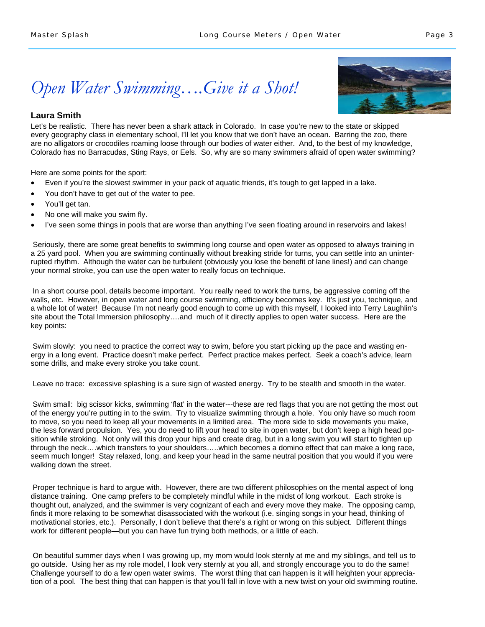# *Open Water Swimming….Give it a Shot!*

## **Laura Smith**

Let's be realistic. There has never been a shark attack in Colorado. In case you're new to the state or skipped every geography class in elementary school, I'll let you know that we don't have an ocean. Barring the zoo, there are no alligators or crocodiles roaming loose through our bodies of water either. And, to the best of my knowledge, Colorado has no Barracudas, Sting Rays, or Eels. So, why are so many swimmers afraid of open water swimming?

Here are some points for the sport:

- Even if you're the slowest swimmer in your pack of aquatic friends, it's tough to get lapped in a lake.
- You don't have to get out of the water to pee.
- You'll get tan.
- No one will make you swim fly.
- I've seen some things in pools that are worse than anything I've seen floating around in reservoirs and lakes!

 Seriously, there are some great benefits to swimming long course and open water as opposed to always training in a 25 yard pool. When you are swimming continually without breaking stride for turns, you can settle into an uninterrupted rhythm. Although the water can be turbulent (obviously you lose the benefit of lane lines!) and can change your normal stroke, you can use the open water to really focus on technique.

In a short course pool, details become important. You really need to work the turns, be aggressive coming off the walls, etc. However, in open water and long course swimming, efficiency becomes key. It's just you, technique, and a whole lot of water! Because I'm not nearly good enough to come up with this myself, I looked into Terry Laughlin's site about the Total Immersion philosophy….and much of it directly applies to open water success. Here are the key points:

Swim slowly: you need to practice the correct way to swim, before you start picking up the pace and wasting energy in a long event. Practice doesn't make perfect. Perfect practice makes perfect. Seek a coach's advice, learn some drills, and make every stroke you take count.

Leave no trace: excessive splashing is a sure sign of wasted energy. Try to be stealth and smooth in the water.

Swim small: big scissor kicks, swimming 'flat' in the water---these are red flags that you are not getting the most out of the energy you're putting in to the swim. Try to visualize swimming through a hole. You only have so much room to move, so you need to keep all your movements in a limited area. The more side to side movements you make, the less forward propulsion. Yes, you do need to lift your head to site in open water, but don't keep a high head position while stroking. Not only will this drop your hips and create drag, but in a long swim you will start to tighten up through the neck….which transfers to your shoulders…..which becomes a domino effect that can make a long race, seem much longer! Stay relaxed, long, and keep your head in the same neutral position that you would if you were walking down the street.

Proper technique is hard to argue with. However, there are two different philosophies on the mental aspect of long distance training. One camp prefers to be completely mindful while in the midst of long workout. Each stroke is thought out, analyzed, and the swimmer is very cognizant of each and every move they make. The opposing camp, finds it more relaxing to be somewhat disassociated with the workout (i.e. singing songs in your head, thinking of motivational stories, etc.). Personally, I don't believe that there's a right or wrong on this subject. Different things work for different people—but you can have fun trying both methods, or a little of each.

On beautiful summer days when I was growing up, my mom would look sternly at me and my siblings, and tell us to go outside. Using her as my role model, I look very sternly at you all, and strongly encourage you to do the same! Challenge yourself to do a few open water swims. The worst thing that can happen is it will heighten your appreciation of a pool. The best thing that can happen is that you'll fall in love with a new twist on your old swimming routine.

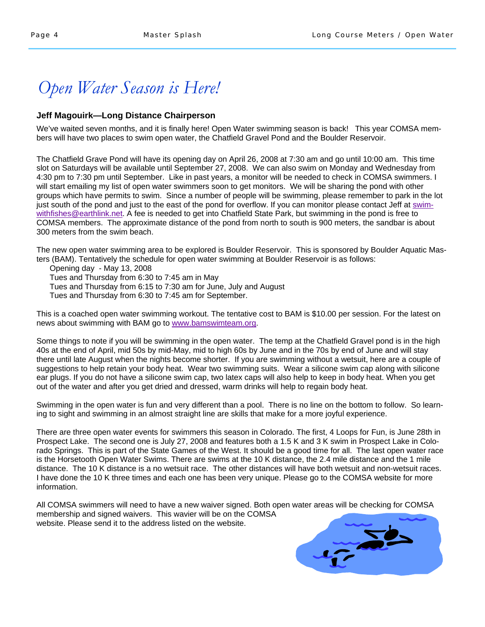## *Open Water Season is Here!*

## **Jeff Magouirk—Long Distance Chairperson**

We've waited seven months, and it is finally here! Open Water swimming season is back! This year COMSA members will have two places to swim open water, the Chatfield Gravel Pond and the Boulder Reservoir.

The Chatfield Grave Pond will have its opening day on April 26, 2008 at 7:30 am and go until 10:00 am. This time slot on Saturdays will be available until September 27, 2008. We can also swim on Monday and Wednesday from 4:30 pm to 7:30 pm until September. Like in past years, a monitor will be needed to check in COMSA swimmers. I will start emailing my list of open water swimmers soon to get monitors. We will be sharing the pond with other groups which have permits to swim. Since a number of people will be swimming, please remember to park in the lot just south of the pond and just to the east of the pond for overflow. If you can monitor please contact Jeff at swimwithfishes@earthlink.net. A fee is needed to get into Chatfield State Park, but swimming in the pond is free to COMSA members. The approximate distance of the pond from north to south is 900 meters, the sandbar is about 300 meters from the swim beach.

The new open water swimming area to be explored is Boulder Reservoir. This is sponsored by Boulder Aquatic Masters (BAM). Tentatively the schedule for open water swimming at Boulder Reservoir is as follows:

Opening day - May 13, 2008

Tues and Thursday from 6:30 to 7:45 am in May

Tues and Thursday from 6:15 to 7:30 am for June, July and August

Tues and Thursday from 6:30 to 7:45 am for September.

This is a coached open water swimming workout. The tentative cost to BAM is \$10.00 per session. For the latest on news about swimming with BAM go to www.bamswimteam.org.

Some things to note if you will be swimming in the open water. The temp at the Chatfield Gravel pond is in the high 40s at the end of April, mid 50s by mid-May, mid to high 60s by June and in the 70s by end of June and will stay there until late August when the nights become shorter. If you are swimming without a wetsuit, here are a couple of suggestions to help retain your body heat. Wear two swimming suits. Wear a silicone swim cap along with silicone ear plugs. If you do not have a silicone swim cap, two latex caps will also help to keep in body heat. When you get out of the water and after you get dried and dressed, warm drinks will help to regain body heat.

Swimming in the open water is fun and very different than a pool. There is no line on the bottom to follow. So learning to sight and swimming in an almost straight line are skills that make for a more joyful experience.

There are three open water events for swimmers this season in Colorado. The first, 4 Loops for Fun, is June 28th in Prospect Lake. The second one is July 27, 2008 and features both a 1.5 K and 3 K swim in Prospect Lake in Colorado Springs. This is part of the State Games of the West. It should be a good time for all. The last open water race is the Horsetooth Open Water Swims. There are swims at the 10 K distance, the 2.4 mile distance and the 1 mile distance. The 10 K distance is a no wetsuit race. The other distances will have both wetsuit and non-wetsuit races. I have done the 10 K three times and each one has been very unique. Please go to the COMSA website for more information.

All COMSA swimmers will need to have a new waiver signed. Both open water areas will be checking for COMSA membership and signed waivers. This wavier will be on the COMSA website. Please send it to the address listed on the website.

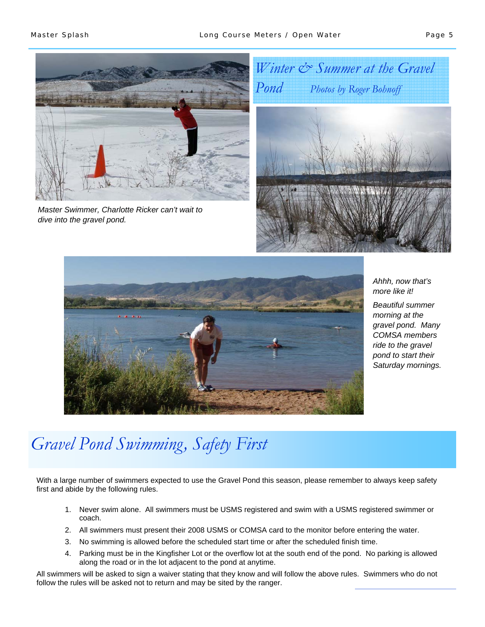

*Master Swimmer, Charlotte Ricker can't wait to dive into the gravel pond.* 





*Ahhh, now that's more like it! Beautiful summer morning at the gravel pond. Many COMSA members ride to the gravel pond to start their Saturday mornings.* 

# *Gravel Pond Swimming, Safety First*

With a large number of swimmers expected to use the Gravel Pond this season, please remember to always keep safety first and abide by the following rules.

- 1. Never swim alone. All swimmers must be USMS registered and swim with a USMS registered swimmer or coach.
- 2. All swimmers must present their 2008 USMS or COMSA card to the monitor before entering the water.
- 3. No swimming is allowed before the scheduled start time or after the scheduled finish time.
- 4. Parking must be in the Kingfisher Lot or the overflow lot at the south end of the pond. No parking is allowed along the road or in the lot adjacent to the pond at anytime.

All swimmers will be asked to sign a waiver stating that they know and will follow the above rules. Swimmers who do not follow the rules will be asked not to return and may be sited by the ranger.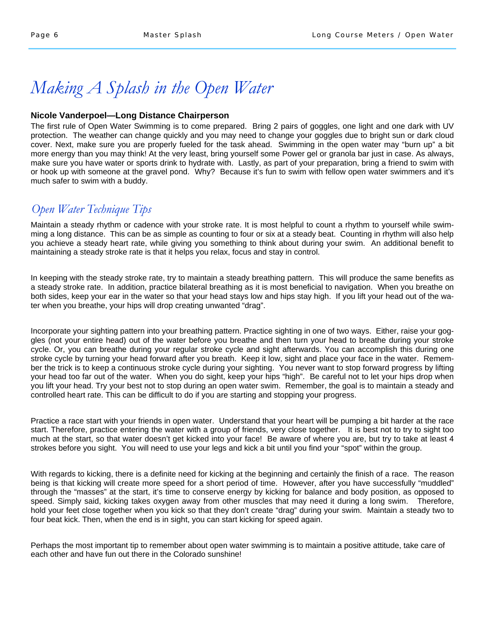## *Making A Splash in the Open Water*

## **Nicole Vanderpoel—Long Distance Chairperson**

The first rule of Open Water Swimming is to come prepared. Bring 2 pairs of goggles, one light and one dark with UV protection. The weather can change quickly and you may need to change your goggles due to bright sun or dark cloud cover. Next, make sure you are properly fueled for the task ahead. Swimming in the open water may "burn up" a bit more energy than you may think! At the very least, bring yourself some Power gel or granola bar just in case. As always, make sure you have water or sports drink to hydrate with. Lastly, as part of your preparation, bring a friend to swim with or hook up with someone at the gravel pond. Why? Because it's fun to swim with fellow open water swimmers and it's much safer to swim with a buddy.

## *Open Water Technique Tips*

Maintain a steady rhythm or cadence with your stroke rate. It is most helpful to count a rhythm to yourself while swimming a long distance. This can be as simple as counting to four or six at a steady beat. Counting in rhythm will also help you achieve a steady heart rate, while giving you something to think about during your swim. An additional benefit to maintaining a steady stroke rate is that it helps you relax, focus and stay in control.

In keeping with the steady stroke rate, try to maintain a steady breathing pattern. This will produce the same benefits as a steady stroke rate. In addition, practice bilateral breathing as it is most beneficial to navigation. When you breathe on both sides, keep your ear in the water so that your head stays low and hips stay high. If you lift your head out of the water when you breathe, your hips will drop creating unwanted "drag".

Incorporate your sighting pattern into your breathing pattern. Practice sighting in one of two ways. Either, raise your goggles (not your entire head) out of the water before you breathe and then turn your head to breathe during your stroke cycle. Or, you can breathe during your regular stroke cycle and sight afterwards. You can accomplish this during one stroke cycle by turning your head forward after you breath. Keep it low, sight and place your face in the water. Remember the trick is to keep a continuous stroke cycle during your sighting. You never want to stop forward progress by lifting your head too far out of the water. When you do sight, keep your hips "high". Be careful not to let your hips drop when you lift your head. Try your best not to stop during an open water swim. Remember, the goal is to maintain a steady and controlled heart rate. This can be difficult to do if you are starting and stopping your progress.

Practice a race start with your friends in open water. Understand that your heart will be pumping a bit harder at the race start. Therefore, practice entering the water with a group of friends, very close together. It is best not to try to sight too much at the start, so that water doesn't get kicked into your face! Be aware of where you are, but try to take at least 4 strokes before you sight. You will need to use your legs and kick a bit until you find your "spot" within the group.

With regards to kicking, there is a definite need for kicking at the beginning and certainly the finish of a race. The reason being is that kicking will create more speed for a short period of time. However, after you have successfully "muddled" through the "masses" at the start, it's time to conserve energy by kicking for balance and body position, as opposed to speed. Simply said, kicking takes oxygen away from other muscles that may need it during a long swim. Therefore, hold your feet close together when you kick so that they don't create "drag" during your swim. Maintain a steady two to four beat kick. Then, when the end is in sight, you can start kicking for speed again.

Perhaps the most important tip to remember about open water swimming is to maintain a positive attitude, take care of each other and have fun out there in the Colorado sunshine!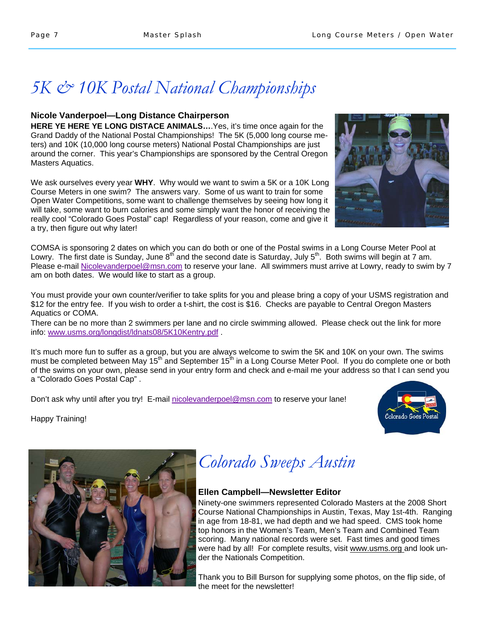## *5K & 10K Postal National Championships*

## **Nicole Vanderpoel—Long Distance Chairperson**

**HERE YE HERE YE LONG DISTACE ANIMALS…**.Yes, it's time once again for the Grand Daddy of the National Postal Championships! The 5K (5,000 long course meters) and 10K (10,000 long course meters) National Postal Championships are just around the corner. This year's Championships are sponsored by the Central Oregon Masters Aquatics.

We ask ourselves every year **WHY**. Why would we want to swim a 5K or a 10K Long Course Meters in one swim? The answers vary. Some of us want to train for some Open Water Competitions, some want to challenge themselves by seeing how long it will take, some want to burn calories and some simply want the honor of receiving the really cool "Colorado Goes Postal" cap! Regardless of your reason, come and give it a try, then figure out why later!

COMSA is sponsoring 2 dates on which you can do both or one of the Postal swims in a Long Course Meter Pool at Lowry. The first date is Sunday, June  $8^{th}$  and the second date is Saturday, July  $5^{th}$ . Both swims will begin at 7 am. Please e-mail Nicolevanderpoel@msn.com to reserve your lane. All swimmers must arrive at Lowry, ready to swim by 7 am on both dates. We would like to start as a group.

You must provide your own counter/verifier to take splits for you and please bring a copy of your USMS registration and \$12 for the entry fee. If you wish to order a t-shirt, the cost is \$16. Checks are payable to Central Oregon Masters Aquatics or COMA.

There can be no more than 2 swimmers per lane and no circle swimming allowed. Please check out the link for more info: www.usms.org/longdist/ldnats08/5K10Kentry.pdf .

It's much more fun to suffer as a group, but you are always welcome to swim the 5K and 10K on your own. The swims must be completed between May 15<sup>th</sup> and September 15<sup>th</sup> in a Long Course Meter Pool. If you do complete one or both of the swims on your own, please send in your entry form and check and e-mail me your address so that I can send you a "Colorado Goes Postal Cap" .

Don't ask why until after you try! E-mail nicolevanderpoel@msn.com to reserve your lane!

Happy Training!





# *Colorado Sweeps Austin*

## **Ellen Campbell—Newsletter Editor**

Ninety-one swimmers represented Colorado Masters at the 2008 Short Course National Championships in Austin, Texas, May 1st-4th. Ranging in age from 18-81, we had depth and we had speed. CMS took home top honors in the Women's Team, Men's Team and Combined Team scoring. Many national records were set. Fast times and good times were had by all! For complete results, visit www.usms.org and look under the Nationals Competition.

Thank you to Bill Burson for supplying some photos, on the flip side, of the meet for the newsletter!

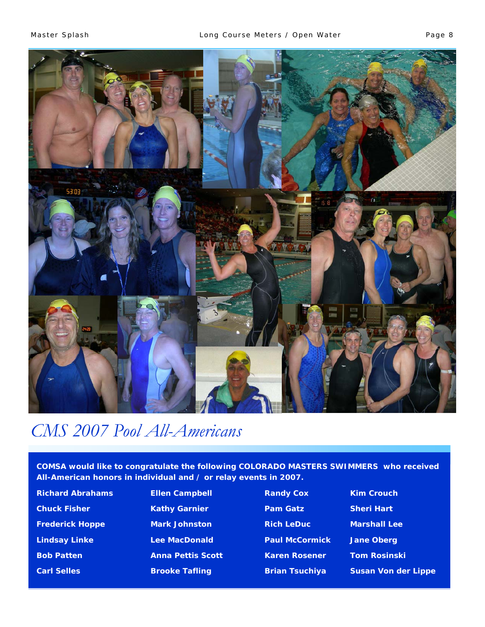

## *CMS 2007 Pool All-Americans*

**COMSA would like to congratulate the following COLORADO MASTERS SWIMMERS who received All-American honors in individual and / or relay events in 2007.** 

Richard Abrahams **Ellen Campbell Randy Cox Kim Crouch Chuck Fisher Chuck Fisher Kathy Garnier Chuck Pam Gatz Sheri Hart** Frederick Hoppe **Mark Johnston Mark Rich LeDuc** Marshall Lee Lindsay Linke **Lee MacDonald Paul McCormick** Jane Oberg **Bob Patten Anna Pettis Scott Karen Rosener Hom Rosinski i Karen Rosener Karen Identity** 

**Carl Selles Brooke Tafling Brian Tsuchiya Susan Von der Lippe**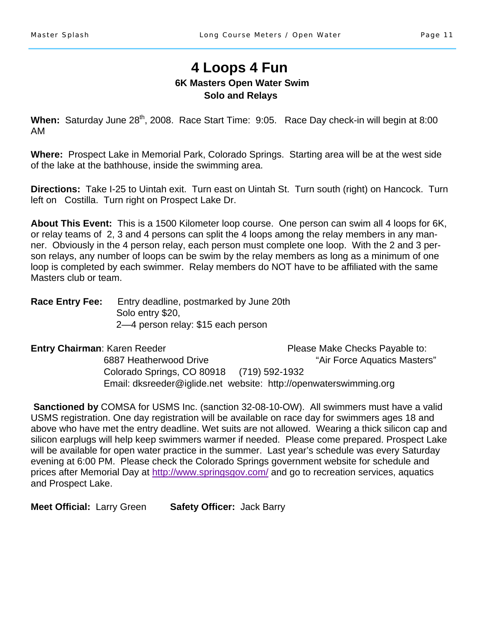## **4 Loops 4 Fun 6K Masters Open Water Swim Solo and Relays**

When: Saturday June 28<sup>th</sup>, 2008. Race Start Time: 9:05. Race Day check-in will begin at 8:00 AM

**Where:** Prospect Lake in Memorial Park, Colorado Springs. Starting area will be at the west side of the lake at the bathhouse, inside the swimming area.

**Directions:** Take I-25 to Uintah exit. Turn east on Uintah St. Turn south (right) on Hancock. Turn left on Costilla. Turn right on Prospect Lake Dr.

**About This Event:** This is a 1500 Kilometer loop course. One person can swim all 4 loops for 6K, or relay teams of 2, 3 and 4 persons can split the 4 loops among the relay members in any manner. Obviously in the 4 person relay, each person must complete one loop. With the 2 and 3 person relays, any number of loops can be swim by the relay members as long as a minimum of one loop is completed by each swimmer. Relay members do NOT have to be affiliated with the same Masters club or team.

**Race Entry Fee:** Entry deadline, postmarked by June 20th Solo entry \$20, 2—4 person relay: \$15 each person

**Entry Chairman**: Karen Reeder **Please Make Checks Payable to:** Please Make Checks Payable to: 6887 Heatherwood Drive "Air Force Aquatics Masters" Colorado Springs, CO 80918 (719) 592-1932 Email: dksreeder@iglide.net website: http://openwaterswimming.org

**Sanctioned by** COMSA for USMS Inc. (sanction 32-08-10-OW). All swimmers must have a valid USMS registration. One day registration will be available on race day for swimmers ages 18 and above who have met the entry deadline. Wet suits are not allowed. Wearing a thick silicon cap and silicon earplugs will help keep swimmers warmer if needed. Please come prepared. Prospect Lake will be available for open water practice in the summer. Last year's schedule was every Saturday evening at 6:00 PM. Please check the Colorado Springs government website for schedule and prices after Memorial Day at http://www.springsgov.com/ and go to recreation services, aquatics and Prospect Lake.

**Meet Official:** Larry Green **Safety Officer:** Jack Barry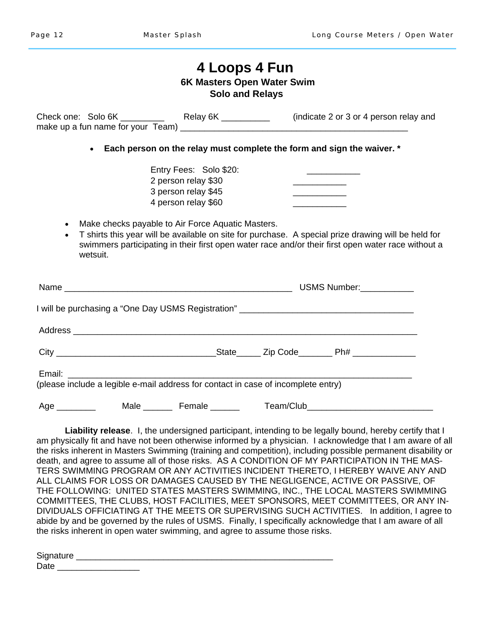## **4 Loops 4 Fun 6K Masters Open Water Swim Solo and Relays**  Check one: Solo 6K \_\_\_\_\_\_\_\_\_\_ Relay 6K \_\_\_\_\_\_\_\_\_\_ (indicate 2 or 3 or 4 person relay and make up a fun name for your  $Team)$ • **Each person on the relay must complete the form and sign the waiver. \***  Entry Fees: Solo \$20: 2 person relay \$30 3 person relay \$45 4 person relay \$60 • Make checks payable to Air Force Aquatic Masters. • T shirts this year will be available on site for purchase. A special prize drawing will be held for swimmers participating in their first open water race and/or their first open water race without a wetsuit. Name \_\_\_\_\_\_\_\_\_\_\_\_\_\_\_\_\_\_\_\_\_\_\_\_\_\_\_\_\_\_\_\_\_\_\_\_\_\_\_\_\_\_\_\_\_\_\_ USMS Number:\_\_\_\_\_\_\_\_\_\_\_ I will be purchasing a "One Day USMS Registration" \_\_\_\_\_\_\_\_\_\_\_\_\_\_\_\_\_\_\_\_\_\_\_\_\_\_\_\_\_\_\_\_\_\_\_\_ Address \_\_\_\_\_\_\_\_\_\_\_\_\_\_\_\_\_\_\_\_\_\_\_\_\_\_\_\_\_\_\_\_\_\_\_\_\_\_\_\_\_\_\_\_\_\_\_\_\_\_\_\_\_\_\_\_\_\_\_\_\_\_\_\_\_\_\_\_\_\_\_ City \_\_\_\_\_\_\_\_\_\_\_\_\_\_\_\_\_\_\_\_\_\_\_\_\_\_\_\_\_\_\_\_\_State\_\_\_\_\_ Zip Code\_\_\_\_\_\_\_ Ph# \_\_\_\_\_\_\_\_\_\_\_\_\_ Email: (please include a legible e-mail address for contact in case of incomplete entry) Age Male Female Female Age Team/Club

**Liability release**. I, the undersigned participant, intending to be legally bound, hereby certify that I am physically fit and have not been otherwise informed by a physician. I acknowledge that I am aware of all the risks inherent in Masters Swimming (training and competition), including possible permanent disability or death, and agree to assume all of those risks. AS A CONDITION OF MY PARTICIPATION IN THE MAS-TERS SWIMMING PROGRAM OR ANY ACTIVITIES INCIDENT THERETO, I HEREBY WAIVE ANY AND ALL CLAIMS FOR LOSS OR DAMAGES CAUSED BY THE NEGLIGENCE, ACTIVE OR PASSIVE, OF THE FOLLOWING: UNITED STATES MASTERS SWIMMING, INC., THE LOCAL MASTERS SWIMMING COMMITTEES, THE CLUBS, HOST FACILITIES, MEET SPONSORS, MEET COMMITTEES, OR ANY IN-DIVIDUALS OFFICIATING AT THE MEETS OR SUPERVISING SUCH ACTIVITIES. In addition, I agree to abide by and be governed by the rules of USMS. Finally, I specifically acknowledge that I am aware of all the risks inherent in open water swimming, and agree to assume those risks.

| Signature          |  |  |  |
|--------------------|--|--|--|
| <b>Date</b><br>Daw |  |  |  |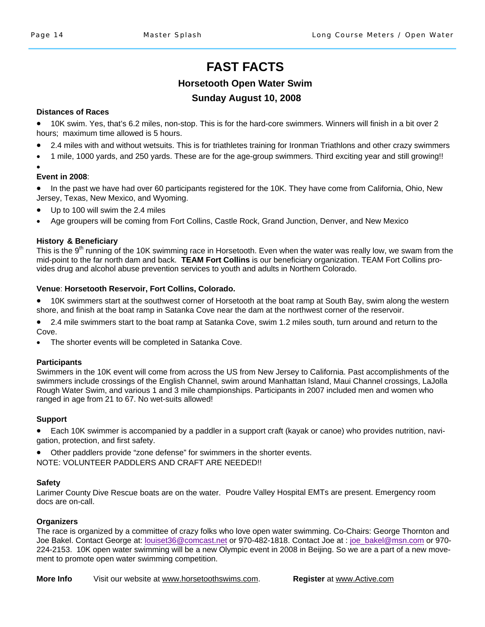## **FAST FACTS**

## **Horsetooth Open Water Swim**

## **Sunday August 10, 2008**

### **Distances of Races**

• 10K swim. Yes, that's 6.2 miles, non-stop. This is for the hard-core swimmers. Winners will finish in a bit over 2 hours; maximum time allowed is 5 hours.

- 2.4 miles with and without wetsuits. This is for triathletes training for Ironman Triathlons and other crazy swimmers
- 1 mile, 1000 yards, and 250 yards. These are for the age-group swimmers. Third exciting year and still growing!!

### **Event in 2008**:

•

• In the past we have had over 60 participants registered for the 10K. They have come from California, Ohio, New Jersey, Texas, New Mexico, and Wyoming.

- Up to 100 will swim the 2.4 miles
- Age groupers will be coming from Fort Collins, Castle Rock, Grand Junction, Denver, and New Mexico

### **History & Beneficiary**

This is the 9<sup>th</sup> running of the 10K swimming race in Horsetooth. Even when the water was really low, we swam from the mid-point to the far north dam and back. **TEAM Fort Collins** is our beneficiary organization. TEAM Fort Collins provides drug and alcohol abuse prevention services to youth and adults in Northern Colorado.

### **Venue**: **Horsetooth Reservoir, Fort Collins, Colorado.**

• 10K swimmers start at the southwest corner of Horsetooth at the boat ramp at South Bay, swim along the western shore, and finish at the boat ramp in Satanka Cove near the dam at the northwest corner of the reservoir.

• 2.4 mile swimmers start to the boat ramp at Satanka Cove, swim 1.2 miles south, turn around and return to the Cove.

The shorter events will be completed in Satanka Cove.

### **Participants**

Swimmers in the 10K event will come from across the US from New Jersey to California. Past accomplishments of the swimmers include crossings of the English Channel, swim around Manhattan Island, Maui Channel crossings, LaJolla Rough Water Swim, and various 1 and 3 mile championships. Participants in 2007 included men and women who ranged in age from 21 to 67. No wet-suits allowed!

### **Support**

• Each 10K swimmer is accompanied by a paddler in a support craft (kayak or canoe) who provides nutrition, navigation, protection, and first safety.

• Other paddlers provide "zone defense" for swimmers in the shorter events. NOTE: VOLUNTEER PADDLERS AND CRAFT ARE NEEDED!!

### **Safety**

Larimer County Dive Rescue boats are on the water. Poudre Valley Hospital EMTs are present. Emergency room docs are on-call.

### **Organizers**

The race is organized by a committee of crazy folks who love open water swimming. Co-Chairs: George Thornton and Joe Bakel. Contact George at: louiset36@comcast.net or 970-482-1818. Contact Joe at : joe\_bakel@msn.com or 970- 224-2153. 10K open water swimming will be a new Olympic event in 2008 in Beijing. So we are a part of a new movement to promote open water swimming competition.

**More Info** Visit our website at www.horsetoothswims.com. **Register** at www.Active.com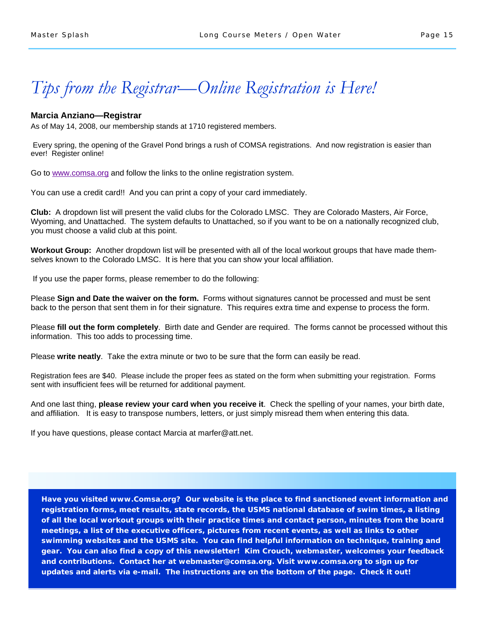## *Tips from the Registrar—Online Registration is Here!*

### **Marcia Anziano—Registrar**

As of May 14, 2008, our membership stands at 1710 registered members.

 Every spring, the opening of the Gravel Pond brings a rush of COMSA registrations. And now registration is easier than ever! Register online!

Go to www.comsa.org and follow the links to the online registration system.

You can use a credit card!! And you can print a copy of your card immediately.

**Club:** A dropdown list will present the valid clubs for the Colorado LMSC. They are Colorado Masters, Air Force, Wyoming, and Unattached. The system defaults to Unattached, so if you want to be on a nationally recognized club, you must choose a valid club at this point.

**Workout Group:** Another dropdown list will be presented with all of the local workout groups that have made themselves known to the Colorado LMSC. It is here that you can show your local affiliation.

If you use the paper forms, please remember to do the following:

Please **Sign and Date the waiver on the form.** Forms without signatures cannot be processed and must be sent back to the person that sent them in for their signature. This requires extra time and expense to process the form.

Please **fill out the form completely**. Birth date and Gender are required. The forms cannot be processed without this information. This too adds to processing time.

Please **write neatly**. Take the extra minute or two to be sure that the form can easily be read.

Registration fees are \$40. Please include the proper fees as stated on the form when submitting your registration. Forms sent with insufficient fees will be returned for additional payment.

And one last thing, **please review your card when you receive it**. Check the spelling of your names, your birth date, and affiliation. It is easy to transpose numbers, letters, or just simply misread them when entering this data.

If you have questions, please contact Marcia at marfer@att.net.

**Have you visited www.Comsa.org? Our website is the place to find sanctioned event information and registration forms, meet results, state records, the USMS national database of swim times, a listing of all the local workout groups with their practice times and contact person, minutes from the board meetings, a list of the executive officers, pictures from recent events, as well as links to other swimming websites and the USMS site. You can find helpful information on technique, training and gear. You can also find a copy of this newsletter! Kim Crouch, webmaster, welcomes your feedback and contributions. Contact her at webmaster@comsa.org. Visit www.comsa.org to sign up for updates and alerts via e-mail. The instructions are on the bottom of the page. Check it out!**